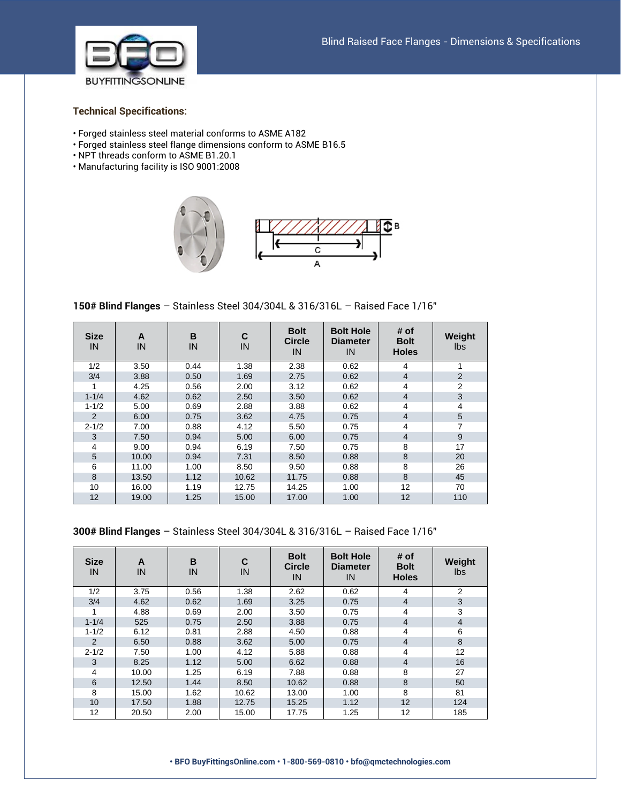

## **Technical Specifications:**

- Forged stainless steel material conforms to ASME A182
- Forged stainless steel flange dimensions conform to ASME B16.5
- NPT threads conform to ASME B1.20.1
- Manufacturing facility is ISO 9001:2008





**150# Blind Flanges** – Stainless Steel 304/304L & 316/316L – Raised Face 1/16"

| <b>Size</b><br>IN | A<br>IN | B<br>IN | C<br>IN | <b>Bolt</b><br><b>Circle</b><br>IN | <b>Bolt Hole</b><br><b>Diameter</b><br>IN | # of<br><b>Bolt</b><br><b>Holes</b> | Weight<br><b>lbs</b> |
|-------------------|---------|---------|---------|------------------------------------|-------------------------------------------|-------------------------------------|----------------------|
| 1/2               | 3.50    | 0.44    | 1.38    | 2.38                               | 0.62                                      | 4                                   |                      |
| 3/4               | 3.88    | 0.50    | 1.69    | 2.75                               | 0.62                                      | $\overline{4}$                      | $\overline{2}$       |
| 1                 | 4.25    | 0.56    | 2.00    | 3.12                               | 0.62                                      | 4                                   | 2                    |
| $1 - 1/4$         | 4.62    | 0.62    | 2.50    | 3.50                               | 0.62                                      | $\overline{4}$                      | 3                    |
| $1 - 1/2$         | 5.00    | 0.69    | 2.88    | 3.88                               | 0.62                                      | 4                                   | 4                    |
| 2                 | 6.00    | 0.75    | 3.62    | 4.75                               | 0.75                                      | $\overline{4}$                      | $5\phantom{.0}$      |
| $2 - 1/2$         | 7.00    | 0.88    | 4.12    | 5.50                               | 0.75                                      | 4                                   | 7                    |
| 3                 | 7.50    | 0.94    | 5.00    | 6.00                               | 0.75                                      | $\overline{4}$                      | 9                    |
| 4                 | 9.00    | 0.94    | 6.19    | 7.50                               | 0.75                                      | 8                                   | 17                   |
| 5                 | 10.00   | 0.94    | 7.31    | 8.50                               | 0.88                                      | 8                                   | 20                   |
| 6                 | 11.00   | 1.00    | 8.50    | 9.50                               | 0.88                                      | 8                                   | 26                   |
| 8                 | 13.50   | 1.12    | 10.62   | 11.75                              | 0.88                                      | 8                                   | 45                   |
| 10                | 16.00   | 1.19    | 12.75   | 14.25                              | 1.00                                      | 12                                  | 70                   |
| 12                | 19.00   | 1.25    | 15.00   | 17.00                              | 1.00                                      | 12                                  | 110                  |

## **300# Blind Flanges** – Stainless Steel 304/304L & 316/316L – Raised Face 1/16"

| <b>Size</b><br>IN | A<br>IN | B<br>IN | C<br>IN | <b>Bolt</b><br><b>Circle</b><br>IN | <b>Bolt Hole</b><br><b>Diameter</b><br>IN | # of<br><b>Bolt</b><br><b>Holes</b> | Weight<br>lbs  |
|-------------------|---------|---------|---------|------------------------------------|-------------------------------------------|-------------------------------------|----------------|
| 1/2               | 3.75    | 0.56    | 1.38    | 2.62                               | 0.62                                      | 4                                   | 2              |
| 3/4               | 4.62    | 0.62    | 1.69    | 3.25                               | 0.75                                      | $\overline{4}$                      | 3              |
|                   | 4.88    | 0.69    | 2.00    | 3.50                               | 0.75                                      | $\overline{4}$                      | 3              |
| $1 - 1/4$         | 525     | 0.75    | 2.50    | 3.88                               | 0.75                                      | $\overline{4}$                      | $\overline{4}$ |
| $1 - 1/2$         | 6.12    | 0.81    | 2.88    | 4.50                               | 0.88                                      | 4                                   | 6              |
| $\overline{2}$    | 6.50    | 0.88    | 3.62    | 5.00                               | 0.75                                      | $\overline{4}$                      | 8              |
| $2 - 1/2$         | 7.50    | 1.00    | 4.12    | 5.88                               | 0.88                                      | $\overline{4}$                      | 12             |
| 3                 | 8.25    | 1.12    | 5.00    | 6.62                               | 0.88                                      | $\overline{4}$                      | 16             |
| 4                 | 10.00   | 1.25    | 6.19    | 7.88                               | 0.88                                      | 8                                   | 27             |
| 6                 | 12.50   | 1.44    | 8.50    | 10.62                              | 0.88                                      | 8                                   | 50             |
| 8                 | 15.00   | 1.62    | 10.62   | 13.00                              | 1.00                                      | 8                                   | 81             |
| 10                | 17.50   | 1.88    | 12.75   | 15.25                              | 1.12                                      | 12                                  | 124            |
| 12                | 20.50   | 2.00    | 15.00   | 17.75                              | 1.25                                      | 12                                  | 185            |